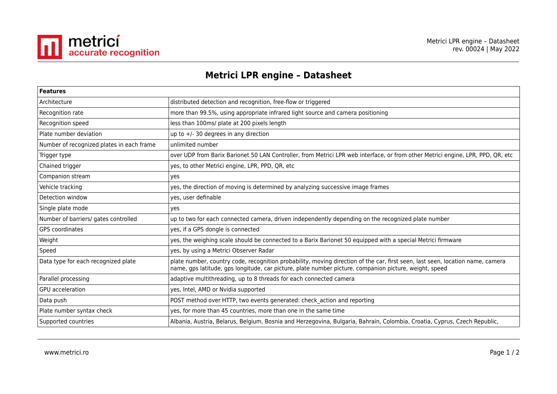

## **Metrici LPR engine – Datasheet**

| <b>Features</b>                           |                                                                                                                                                                                                                                          |
|-------------------------------------------|------------------------------------------------------------------------------------------------------------------------------------------------------------------------------------------------------------------------------------------|
| Architecture                              | distributed detection and recognition, free-flow or triggered                                                                                                                                                                            |
| Recognition rate                          | more than 99.5%, using appropriate infrared light source and camera positioning                                                                                                                                                          |
| Recognition speed                         | less than 100ms/ plate at 200 pixels length                                                                                                                                                                                              |
| Plate number deviation                    | up to $+/-$ 30 degrees in any direction                                                                                                                                                                                                  |
| Number of recognized plates in each frame | unlimited number                                                                                                                                                                                                                         |
| Trigger type                              | over UDP from Barix Barionet 50 LAN Controller, from Metrici LPR web interface, or from other Metrici engine, LPR, PPD, QR, etc                                                                                                          |
| Chained trigger                           | yes, to other Metrici engine, LPR, PPD, QR, etc                                                                                                                                                                                          |
| Companion stream                          | yes                                                                                                                                                                                                                                      |
| Vehicle tracking                          | yes, the direction of moving is determined by analyzing successive image frames                                                                                                                                                          |
| Detection window                          | yes, user definable                                                                                                                                                                                                                      |
| Single plate mode                         | yes                                                                                                                                                                                                                                      |
| Number of barriers/ gates controlled      | up to two for each connected camera, driven independently depending on the recognized plate number                                                                                                                                       |
| GPS coordinates                           | yes, if a GPS dongle is connected                                                                                                                                                                                                        |
| Weight                                    | yes, the weighing scale should be connected to a Barix Barionet 50 equipped with a special Metrici firmware                                                                                                                              |
| Speed                                     | yes, by using a Metrici Observer Radar                                                                                                                                                                                                   |
| Data type for each recognized plate       | plate number, country code, recognition probability, moving direction of the car, first seen, last seen, location name, camera<br>name, gps latitude, gps longitude, car picture, plate number picture, companion picture, weight, speed |
| Parallel processing                       | adaptive multithreading, up to 8 threads for each connected camera                                                                                                                                                                       |
| GPU acceleration                          | yes, Intel, AMD or Nvidia supported                                                                                                                                                                                                      |
| Data push                                 | POST method over HTTP, two events generated: check action and reporting                                                                                                                                                                  |
| Plate number syntax check                 | yes, for more than 45 countries, more than one in the same time                                                                                                                                                                          |
| Supported countries                       | Albania, Austria, Belarus, Belgium, Bosnia and Herzegovina, Bulgaria, Bahrain, Colombia, Croatia, Cyprus, Czech Republic,                                                                                                                |